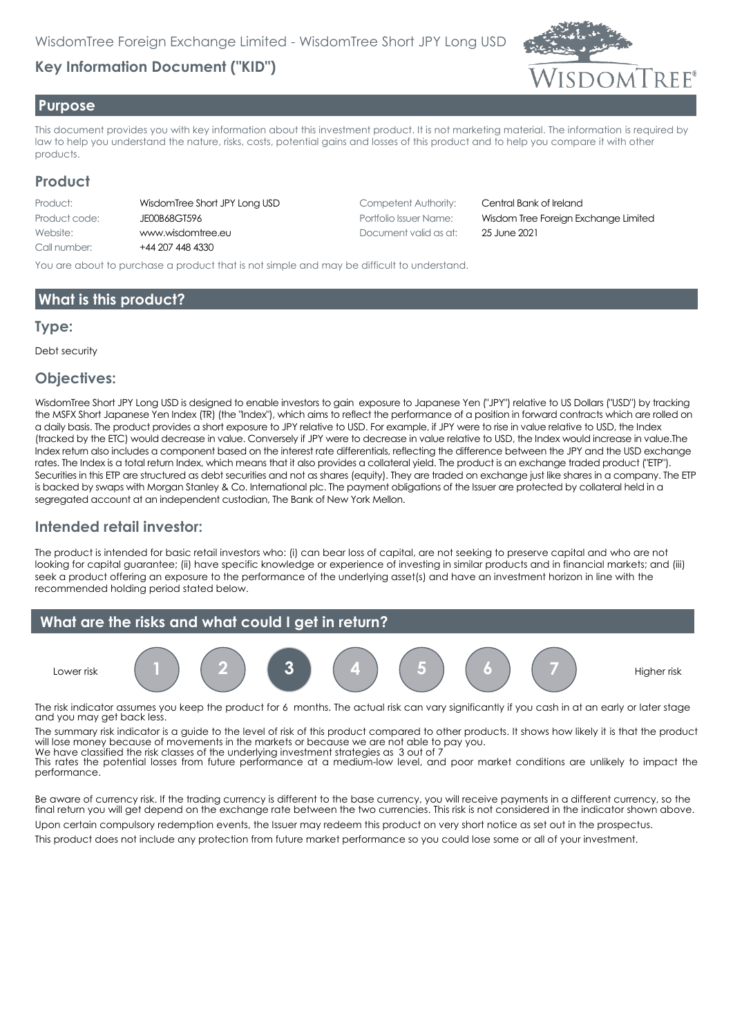# **Key Information Document ("KID")**



#### **Purpose**

This document provides you with key information about this investment product. It is not marketing material. The information is required by law to help you understand the nature, risks, costs, potential gains and losses of this product and to help you compare it with other products.

#### **Product**

| Product:      | WisdomTree Short J |
|---------------|--------------------|
| Product code: | JE00B68GT596       |
| Website:      | www.wisdomtree.e   |
| Call number:  | +44 207 448 4330   |
|               |                    |

PY Long USD Competent Authority: Central Bank of Ireland Website: www.wisdomtree.eu Document valid as at: 25 June 2021

Portfolio Issuer Name: **Wisdom Tree Foreign Exchange Limited** 

You are about to purchase a product that is not simple and may be difficult to understand.

# **What is this product?**

#### **Type:**

Debt security

#### **Objectives:**

WisdomTree Short JPY Long USD is designed to enable investors to gain exposure to Japanese Yen ("JPY") relative to US Dollars ("USD") by tracking the MSFX Short Japanese Yen Index (TR) (the "Index"), which aims to reflect the performance of a position in forward contracts which are rolled on a daily basis. The product provides a short exposure to JPY relative to USD. For example, if JPY were to rise in value relative to USD, the Index (tracked by the ETC) would decrease in value. Conversely if JPY were to decrease in value relative to USD, the Index would increase in value.The Index return also includes a component based on the interest rate differentials, reflecting the difference between the JPY and the USD exchange rates. The Index is a total return Index, which means that it also provides a collateral yield. The product is an exchange traded product ("ETP"). Securities in this ETP are structured as debt securities and not as shares (equity). They are traded on exchange just like shares in a company. The ETP is backed by swaps with Morgan Stanley & Co. International plc. The payment obligations of the Issuer are protected by collateral held in a segregated account at an independent custodian, The Bank of New York Mellon.

#### **Intended retail investor:**

The product is intended for basic retail investors who: (i) can bear loss of capital, are not seeking to preserve capital and who are not looking for capital guarantee; (ii) have specific knowledge or experience of investing in similar products and in financial markets; and (iii) seek a product offering an exposure to the performance of the underlying asset(s) and have an investment horizon in line with the recommended holding period stated below.



The risk indicator assumes you keep the product for 6 months. The actual risk can vary significantly if you cash in at an early or later stage and you may get back less.

The summary risk indicator is a guide to the level of risk of this product compared to other products. It shows how likely it is that the product will lose money because of movements in the markets or because we are not able to pay you. We have classified the risk classes of the underlying investment strategies as 3 out of 7

This rates the potential losses from future performance at a medium-low level, and poor market conditions are unlikely to impact the performance.

Be aware of currency risk. If the trading currency is different to the base currency, you will receive payments in a different currency, so the final return you will get depend on the exchange rate between the two currencies. This risk is not considered in the indicator shown above.

Upon certain compulsory redemption events, the Issuer may redeem this product on very short notice as set out in the prospectus.

This product does not include any protection from future market performance so you could lose some or all of your investment.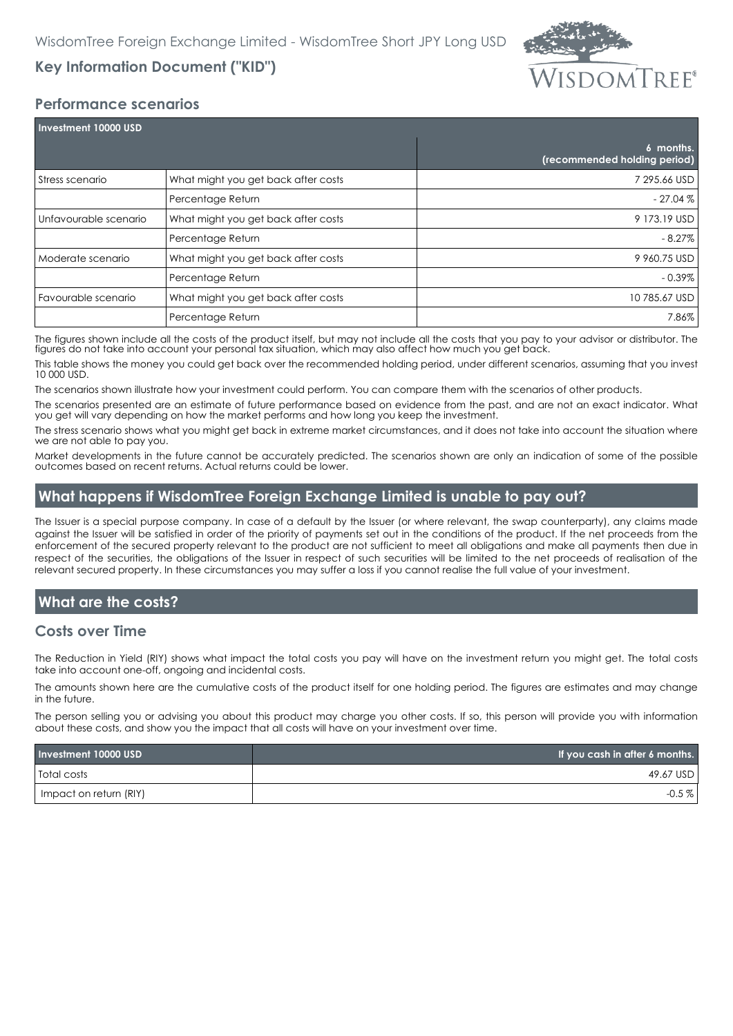

# **Key Information Document ("KID")**

# **Performance scenarios**

| Investment 10000 USD  |                                     |                                           |
|-----------------------|-------------------------------------|-------------------------------------------|
|                       |                                     | 6 months.<br>(recommended holding period) |
| Stress scenario       | What might you get back after costs | 7 295.66 USD                              |
|                       | Percentage Return                   | $-27.04%$                                 |
| Unfavourable scenario | What might you get back after costs | 9 173.19 USD                              |
|                       | Percentage Return                   | $-8.27\%$                                 |
| Moderate scenario     | What might you get back after costs | 9 960.75 USD                              |
|                       | Percentage Return                   | $-0.39\%$                                 |
| Favourable scenario   | What might you get back after costs | 10 785.67 USD                             |
|                       | Percentage Return                   | 7.86%                                     |

The figures shown include all the costs of the product itself, but may not include all the costs that you pay to your advisor or distributor. The figures do not take into account your personal tax situation, which may also affect how much you get back.

This table shows the money you could get back over the recommended holding period, under different scenarios, assuming that you invest 10 000 USD.

The scenarios shown illustrate how your investment could perform. You can compare them with the scenarios of other products.

The scenarios presented are an estimate of future performance based on evidence from the past, and are not an exact indicator. What you get will vary depending on how the market performs and how long you keep the investment.

The stress scenario shows what you might get back in extreme market circumstances, and it does not take into account the situation where we are not able to pay you.

Market developments in the future cannot be accurately predicted. The scenarios shown are only an indication of some of the possible outcomes based on recent returns. Actual returns could be lower.

# **What happens if WisdomTree Foreign Exchange Limited is unable to pay out?**

The Issuer is a special purpose company. In case of a default by the Issuer (or where relevant, the swap counterparty), any claims made against the Issuer will be satisfied in order of the priority of payments set out in the conditions of the product. If the net proceeds from the enforcement of the secured property relevant to the product are not sufficient to meet all obligations and make all payments then due in respect of the securities, the obligations of the Issuer in respect of such securities will be limited to the net proceeds of realisation of the relevant secured property. In these circumstances you may suffer a loss if you cannot realise the full value of your investment.

# **What are the costs?**

#### **Costs over Time**

The Reduction in Yield (RIY) shows what impact the total costs you pay will have on the investment return you might get. The total costs take into account one-off, ongoing and incidental costs.

The amounts shown here are the cumulative costs of the product itself for one holding period. The figures are estimates and may change in the future.

The person selling you or advising you about this product may charge you other costs. If so, this person will provide you with information about these costs, and show you the impact that all costs will have on your investment over time.

| Investment 10000 USD   | If you cash in after 6 months. |
|------------------------|--------------------------------|
| <b>Total costs</b>     | 49.67 USD                      |
| Impact on return (RIY) | $-0.5\%$                       |